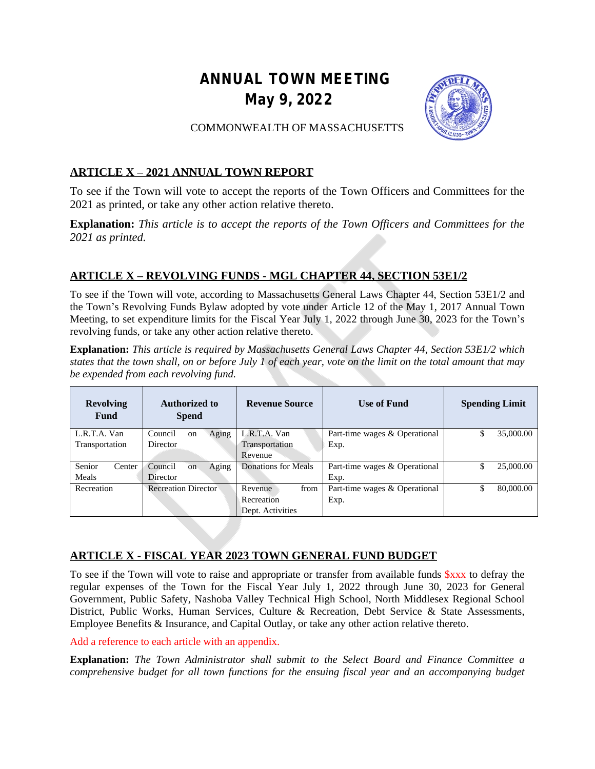# **ANNUAL TOWN MEETING May 9, 2022**



## COMMONWEALTH OF MASSACHUSETTS

# **ARTICLE X – 2021 ANNUAL TOWN REPORT**

To see if the Town will vote to accept the reports of the Town Officers and Committees for the 2021 as printed, or take any other action relative thereto.

**Explanation:** *This article is to accept the reports of the Town Officers and Committees for the 2021 as printed.*

# **ARTICLE X – REVOLVING FUNDS - MGL CHAPTER 44, SECTION 53E1/2**

To see if the Town will vote, according to Massachusetts General Laws Chapter 44, Section 53E1/2 and the Town's Revolving Funds Bylaw adopted by vote under Article 12 of the May 1, 2017 Annual Town Meeting, to set expenditure limits for the Fiscal Year July 1, 2022 through June 30, 2023 for the Town's revolving funds, or take any other action relative thereto.

**Explanation:** *This article is required by Massachusetts General Laws Chapter 44, Section 53E1/2 which* states that the town shall, on or before July  $\overline{1}$  of each year, vote on the limit on the total amount that may *be expended from each revolving fund.*

| <b>Revolving</b><br>Fund | <b>Authorized to</b><br><b>Spend</b> | <b>Revenue Source</b> | Use of Fund                   | <b>Spending Limit</b> |
|--------------------------|--------------------------------------|-----------------------|-------------------------------|-----------------------|
| L.R.T.A. Van             | Aging<br>Council<br>on               | L.R.T.A. Van          | Part-time wages & Operational | 35,000.00<br>\$       |
| Transportation           | Director                             | Transportation        | Exp.                          |                       |
|                          |                                      | Revenue               |                               |                       |
| Senior<br>Center         | Aging<br>Council<br><sub>on</sub>    | Donations for Meals   | Part-time wages & Operational | \$<br>25,000.00       |
| Meals                    | Director                             |                       | Exp.                          |                       |
| Recreation               | <b>Recreation Director</b>           | from<br>Revenue       | Part-time wages & Operational | \$<br>80,000.00       |
|                          |                                      | Recreation            | Exp.                          |                       |
|                          |                                      | Dept. Activities      |                               |                       |

# **ARTICLE X - FISCAL YEAR 2023 TOWN GENERAL FUND BUDGET**

To see if the Town will vote to raise and appropriate or transfer from available funds  $\frac{8}{3}$ xx to defray the regular expenses of the Town for the Fiscal Year July 1, 2022 through June 30, 2023 for General Government, Public Safety, Nashoba Valley Technical High School, North Middlesex Regional School District, Public Works, Human Services, Culture & Recreation, Debt Service & State Assessments, Employee Benefits & Insurance, and Capital Outlay, or take any other action relative thereto.

Add a reference to each article with an appendix.

**Explanation:** *The Town Administrator shall submit to the Select Board and Finance Committee a comprehensive budget for all town functions for the ensuing fiscal year and an accompanying budget*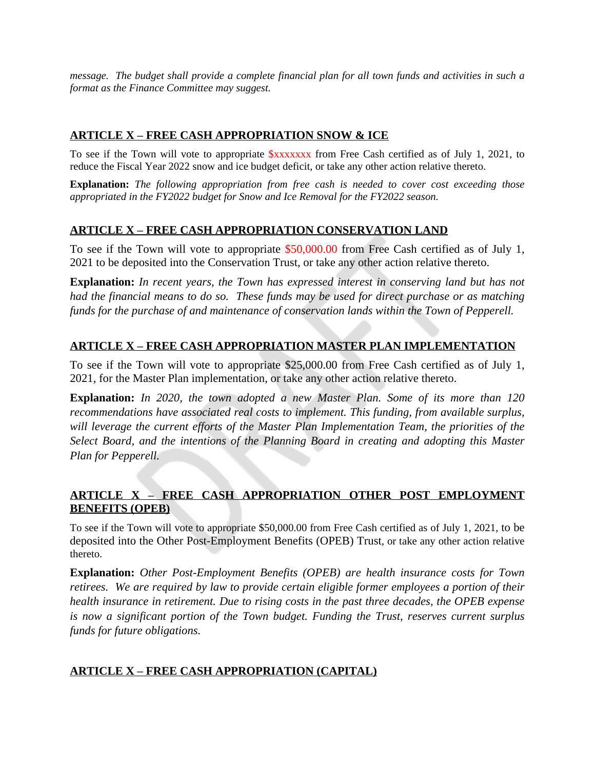message. The budget shall provide a complete financial plan for all town funds and activities in such a *format as the Finance Committee may suggest.*

## **ARTICLE X – FREE CASH APPROPRIATION SNOW & ICE**

To see if the Town will vote to appropriate \$xxxxxxx from Free Cash certified as of July 1, 2021, to reduce the Fiscal Year 2022 snow and ice budget deficit, or take any other action relative thereto.

**Explanation:** *The following appropriation from free cash is needed to cover cost exceeding those appropriated in the FY2022 budget for Snow and Ice Removal for the FY2022 season.*

## **ARTICLE X – FREE CASH APPROPRIATION CONSERVATION LAND**

To see if the Town will vote to appropriate \$50,000.00 from Free Cash certified as of July 1, 2021 to be deposited into the Conservation Trust, or take any other action relative thereto.

**Explanation:** *In recent years, the Town has expressed interest in conserving land but has not had the financial means to do so. These funds may be used for direct purchase or as matching funds for the purchase of and maintenance of conservation lands within the Town of Pepperell.*

## **ARTICLE X – FREE CASH APPROPRIATION MASTER PLAN IMPLEMENTATION**

To see if the Town will vote to appropriate \$25,000.00 from Free Cash certified as of July 1, 2021, for the Master Plan implementation, or take any other action relative thereto.

**Explanation:** *In 2020, the town adopted a new Master Plan. Some of its more than 120 recommendations have associated real costs to implement. This funding, from available surplus, will leverage the current efforts of the Master Plan Implementation Team, the priorities of the Select Board, and the intentions of the Planning Board in creating and adopting this Master Plan for Pepperell.*

## **ARTICLE X – FREE CASH APPROPRIATION OTHER POST EMPLOYMENT BENEFITS (OPEB)**

To see if the Town will vote to appropriate \$50,000.00 from Free Cash certified as of July 1, 2021, to be deposited into the Other Post-Employment Benefits (OPEB) Trust, or take any other action relative thereto.

**Explanation:** *Other Post-Employment Benefits (OPEB) are health insurance costs for Town retirees. We are required by law to provide certain eligible former employees a portion of their health insurance in retirement. Due to rising costs in the past three decades, the OPEB expense is now a significant portion of the Town budget. Funding the Trust, reserves current surplus funds for future obligations.*

## **ARTICLE X – FREE CASH APPROPRIATION (CAPITAL)**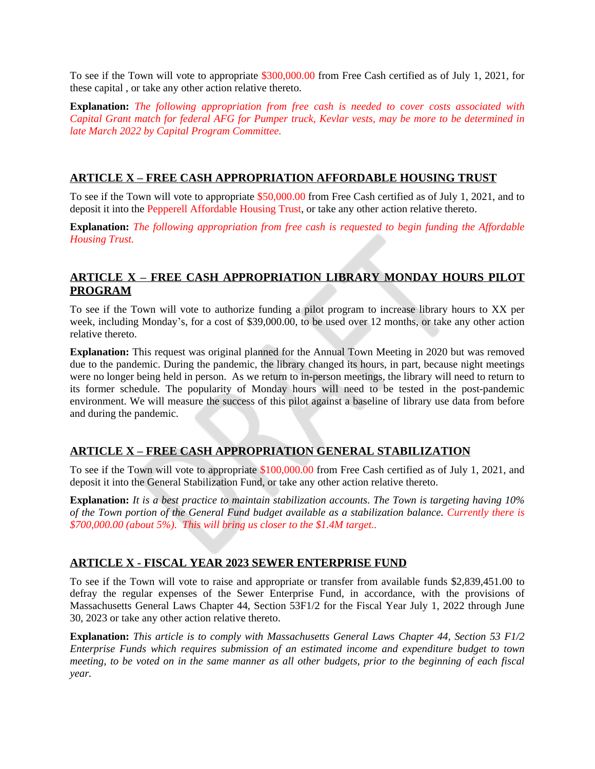To see if the Town will vote to appropriate \$300,000.00 from Free Cash certified as of July 1, 2021, for these capital , or take any other action relative thereto.

**Explanation:** *The following appropriation from free cash is needed to cover costs associated with* Capital Grant match for federal AFG for Pumper truck, Kevlar vests, may be more to be determined in *late March 2022 by Capital Program Committee.*

#### **ARTICLE X – FREE CASH APPROPRIATION AFFORDABLE HOUSING TRUST**

To see if the Town will vote to appropriate \$50,000.00 from Free Cash certified as of July 1, 2021, and to deposit it into the Pepperell Affordable Housing Trust, or take any other action relative thereto.

**Explanation:** *The following appropriation from free cash is requested to begin funding the Affordable Housing Trust.*

## **ARTICLE X – FREE CASH APPROPRIATION LIBRARY MONDAY HOURS PILOT PROGRAM**

To see if the Town will vote to authorize funding a pilot program to increase library hours to XX per week, including Monday's, for a cost of \$39,000.00, to be used over 12 months, or take any other action relative thereto.

**Explanation:** This request was original planned for the Annual Town Meeting in 2020 but was removed due to the pandemic. During the pandemic, the library changed its hours, in part, because night meetings were no longer being held in person. As we return to in-person meetings, the library will need to return to its former schedule. The popularity of Monday hours will need to be tested in the post-pandemic environment. We will measure the success of this pilot against a baseline of library use data from before and during the pandemic.

# **ARTICLE X – FREE CASH APPROPRIATION GENERAL STABILIZATION**

To see if the Town will vote to appropriate \$100,000.00 from Free Cash certified as of July 1, 2021, and deposit it into the General Stabilization Fund, or take any other action relative thereto.

**Explanation:** *It is a best practice to maintain stabilization accounts*. *The Town is targeting having 10% of the Town portion of the General Fund budget available as a stabilization balance. Currently there is \$700,000.00 (about 5%). This will bring us closer to the \$1.4M target..*

#### **ARTICLE X - FISCAL YEAR 2023 SEWER ENTERPRISE FUND**

To see if the Town will vote to raise and appropriate or transfer from available funds \$2,839,451.00 to defray the regular expenses of the Sewer Enterprise Fund, in accordance, with the provisions of Massachusetts General Laws Chapter 44, Section 53F1/2 for the Fiscal Year July 1, 2022 through June 30, 2023 or take any other action relative thereto.

**Explanation:** *This article is to comply with Massachusetts General Laws Chapter 44, Section 53 F1/2 Enterprise Funds which requires submission of an estimated income and expenditure budget to town* meeting, to be voted on in the same manner as all other budgets, prior to the beginning of each fiscal *year.*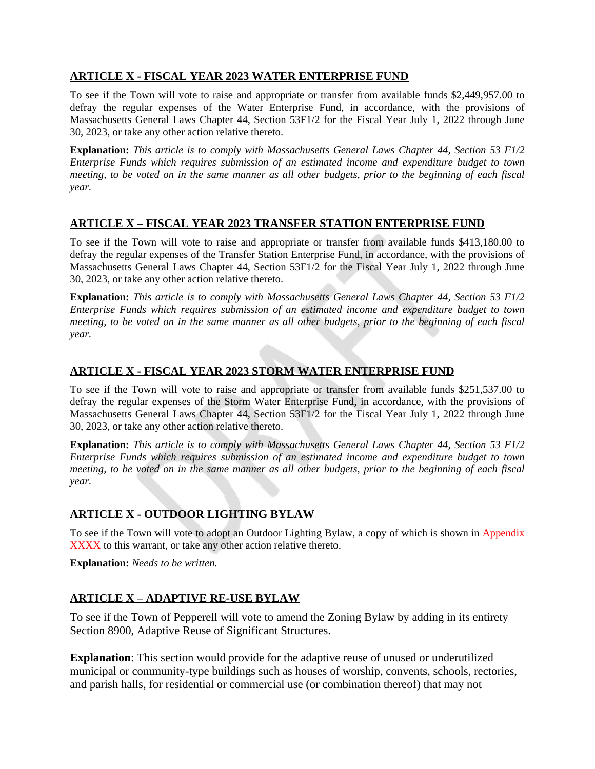## **ARTICLE X - FISCAL YEAR 2023 WATER ENTERPRISE FUND**

To see if the Town will vote to raise and appropriate or transfer from available funds \$2,449,957.00 to defray the regular expenses of the Water Enterprise Fund, in accordance, with the provisions of Massachusetts General Laws Chapter 44, Section 53F1/2 for the Fiscal Year July 1, 2022 through June 30, 2023, or take any other action relative thereto.

**Explanation:** *This article is to comply with Massachusetts General Laws Chapter 44, Section 53 F1/2 Enterprise Funds which requires submission of an estimated income and expenditure budget to town* meeting, to be voted on in the same manner as all other budgets, prior to the beginning of each fiscal *year.*

#### **ARTICLE X – FISCAL YEAR 2023 TRANSFER STATION ENTERPRISE FUND**

To see if the Town will vote to raise and appropriate or transfer from available funds \$413,180.00 to defray the regular expenses of the Transfer Station Enterprise Fund, in accordance, with the provisions of Massachusetts General Laws Chapter 44, Section 53F1/2 for the Fiscal Year July 1, 2022 through June 30, 2023, or take any other action relative thereto.

**Explanation:** *This article is to comply with Massachusetts General Laws Chapter 44, Section 53 F1/2 Enterprise Funds which requires submission of an estimated income and expenditure budget to town* meeting, to be voted on in the same manner as all other budgets, prior to the beginning of each fiscal *year.*

## **ARTICLE X - FISCAL YEAR 2023 STORM WATER ENTERPRISE FUND**

To see if the Town will vote to raise and appropriate or transfer from available funds \$251,537.00 to defray the regular expenses of the Storm Water Enterprise Fund, in accordance, with the provisions of Massachusetts General Laws Chapter 44, Section 53F1/2 for the Fiscal Year July 1, 2022 through June 30, 2023, or take any other action relative thereto.

**Explanation:** *This article is to comply with Massachusetts General Laws Chapter 44, Section 53 F1/2 Enterprise Funds which requires submission of an estimated income and expenditure budget to town* meeting, to be voted on in the same manner as all other budgets, prior to the beginning of each fiscal *year.*

## **ARTICLE X - OUTDOOR LIGHTING BYLAW**

To see if the Town will vote to adopt an Outdoor Lighting Bylaw, a copy of which is shown in Appendix XXXX to this warrant, or take any other action relative thereto.

**Explanation:** *Needs to be written.*

## **ARTICLE X – ADAPTIVE RE-USE BYLAW**

To see if the Town of Pepperell will vote to amend the Zoning Bylaw by adding in its entirety Section 8900, Adaptive Reuse of Significant Structures.

**Explanation**: This section would provide for the adaptive reuse of unused or underutilized municipal or community-type buildings such as houses of worship, convents, schools, rectories, and parish halls, for residential or commercial use (or combination thereof) that may not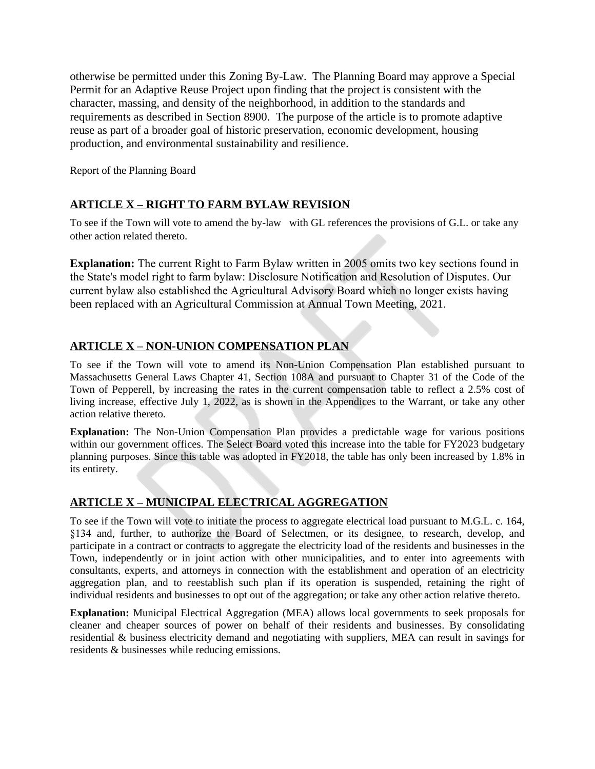otherwise be permitted under this Zoning By-Law. The Planning Board may approve a Special Permit for an Adaptive Reuse Project upon finding that the project is consistent with the character, massing, and density of the neighborhood, in addition to the standards and requirements as described in Section 8900. The purpose of the article is to promote adaptive reuse as part of a broader goal of historic preservation, economic development, housing production, and environmental sustainability and resilience.

Report of the Planning Board

## **ARTICLE X – RIGHT TO FARM BYLAW REVISION**

To see if the Town will vote to amend the by-law with GL references the provisions of G.L. or take any other action related thereto.

**Explanation:** The current Right to Farm Bylaw written in 2005 omits two key sections found in the State's model right to farm bylaw: Disclosure Notification and Resolution of Disputes. Our current bylaw also established the Agricultural Advisory Board which no longer exists having been replaced with an Agricultural Commission at Annual Town Meeting, 2021.

## **ARTICLE X – NON-UNION COMPENSATION PLAN**

To see if the Town will vote to amend its Non-Union Compensation Plan established pursuant to Massachusetts General Laws Chapter 41, Section 108A and pursuant to Chapter 31 of the Code of the Town of Pepperell, by increasing the rates in the current compensation table to reflect a 2.5% cost of living increase, effective July 1, 2022, as is shown in the Appendices to the Warrant, or take any other action relative thereto.

**Explanation:** The Non-Union Compensation Plan provides a predictable wage for various positions within our government offices. The Select Board voted this increase into the table for FY2023 budgetary planning purposes. Since this table was adopted in FY2018, the table has only been increased by 1.8% in its entirety.

## **ARTICLE X – MUNICIPAL ELECTRICAL AGGREGATION**

To see if the Town will vote to initiate the process to aggregate electrical load pursuant to M.G.L. c. 164, §134 and, further, to authorize the Board of Selectmen, or its designee, to research, develop, and participate in a contract or contracts to aggregate the electricity load of the residents and businesses in the Town, independently or in joint action with other municipalities, and to enter into agreements with consultants, experts, and attorneys in connection with the establishment and operation of an electricity aggregation plan, and to reestablish such plan if its operation is suspended, retaining the right of individual residents and businesses to opt out of the aggregation; or take any other action relative thereto.

**Explanation:** Municipal Electrical Aggregation (MEA) allows local governments to seek proposals for cleaner and cheaper sources of power on behalf of their residents and businesses. By consolidating residential & business electricity demand and negotiating with suppliers, MEA can result in savings for residents & businesses while reducing emissions.